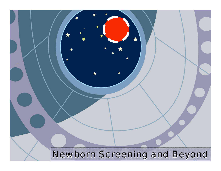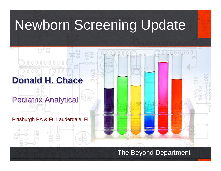# Newborn Screening Update

# **Donald H. Chace Donald H. Chace**

#### **Pediatrix Analytical**

호부용

#### Pittsburgh PA & Ft. Lauderdale, FL

#### The Beyond Department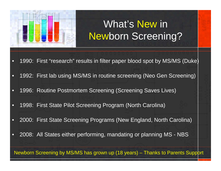

## What's New in Newborn Screening?

- $\bullet$ 1990: First "research" results in filter paper blood spot by MS/MS (Duke)
- •1992: First lab using MS/MS in routine screening (Neo Gen Screening)
- •1996: Routine Postmortem Screening (Screening Saves Lives)
- •1998: First State Pilot Screening Program (North Carolina)
- •2000: First State Screening Programs (New England, North Carolina)
- •2008: All States either performing, mandating or planning MS - NBS

Newborn Screening by MS/MS has grown up (18 years) – Thanks to Parents Support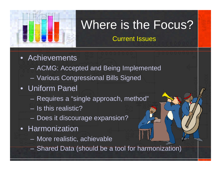

# Where is the Focus?

Current Issues

- Achievements
	- $\mathcal{L}_{\mathcal{A}}$ ACMG: Accepted and Being Implemented
	- $\mathcal{L}_{\mathcal{A}}$ Various Congressional Bills Signed
- Uniform Panel
	- Requires a "single approach, method"
	- Is this realistic?
	- Does it discourage expansion?
- Harmonization
	- More realistic, achievable
	- Shared Data (should be a tool for harmonization)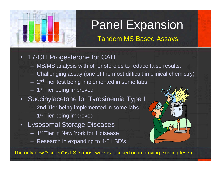

# Panel Expansion

Tandem MS Based Assays

- $\bullet$  17-OH Progesterone for CAH
	- MS/MS analysis with other steroids to reduce false results.
	- Challenging assay (one of the most difficult in clinical chemistry)
	- 2<sup>nd</sup> Tier test being implemented in some labs
	- 1<sup>st</sup> Tier being improved
- Succinylacetone for Tyrosinemia Type I
	- 2nd Tier being implemented in some labs
	- 1<sup>st</sup> Tier being improved
- • Lysosomal Storage Diseases
	- 1<sup>st</sup> Tier in New York for 1 disease
	- Research in expanding to 4-5 LSD's



The only new "screen" is LSD (most work is focused on improving existing tests)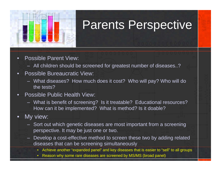

# Parents Perspective

- • Possible Parent View:
	- All children should be screened for greatest number of diseases..?
- • Possible Bureaucratic View:
	- What diseases? How much does it cost? Who will pay? Who will do the tests?
- • Possible Public Health View:
	- What is benefit of screening? Is it treatable? Educational resources? How can it be implemented? What is method? Is it doable?

#### $\bullet$ My view:

- Sort out which genetic diseases are most important from a screening perspective. It may be just one or two.
- Develop a cost-effective method to screen these two by adding related diseases that can be screening simultaneously
	- $\bullet$ Achieve another "expanded panel" and key diseases that is easier to "sell" to all groups
	- $\bullet$ Reason why some rare diseases are screened by MS/MS (broad panel)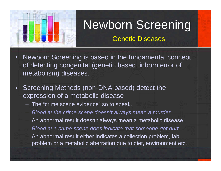

# Newborn Screening

#### Genetic Diseases

- $\bullet$  Newborn Screening is based in the fundamental concept of detecting congenital (genetic based, inborn error of metabolism) diseases.
- $\bullet$  Screening Methods (non-DNA based) detect the expression of a metabolic disease
	- The "crime scene evidence" so to speak.
	- *Blood at the crime scene doesn't always mean a murder*
	- An abnormal result doesn't always mean a metabolic disease
	- *Blood at a crime scene does indicate that someone got hurt*
	- An abnormal result either indicates a collection problem, lab problem or a metabolic aberration due to diet, environment etc.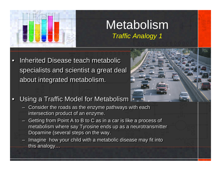

#### Metabolism *Traffic Analogy 1*

 $\bullet$ Inherited Disease teach metabolic specialists and scientist a great deal specialists and scientist a great deal about integrated metabolism. about integrated metabolism.



- $\bullet$  Using a Traffic Model for Metabolism Using a Traffic Model for Metabolism
	- Consider the roads as the enzyme pathways with each Consider the roads as the enzyme pathways with each intersection product of an enzyme. intersection product of an enzyme.
	- Getting from Point A to B to C as in a car is like a process of Getting from Point A to B to C as in a car is like a process of metabolism where say Tyrosine ends up as a neurotransmitter metabolism where say Tyrosine ends up as a neurotransmitter Dopamine (several steps on the way. Dopamine (several steps on the way.
	- Imagine how your child with a metabolic disease may fit into Imagine how your child with a metabolic disease may fit into this analogy… this analogy…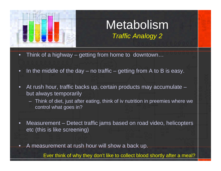

•

### Metabolism *Traffic Analogy 2*

- •Think of a highway – getting from home to downtown…
- •In the middle of the day  $-$  no traffic  $-$  getting from A to B is easy.
- • At rush hour, traffic backs up, certain products may accumulate – but always temporarily
	- Think of diet, just after eating, think of iv nutrition in preemies where we control what goes in?
- • Measurement – Detect traffic jams based on road video, helicopters etc (this is like screening)
	- A measurement at rush hour will show a back up.

Ever think of why they don't like to collect blood shortly after a meal?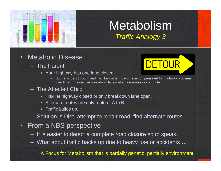

#### Metabolism*Traffic Analogy 3*

- • Metabolic Disease
	- The Parent
		- Your highway has one lane closed



- But traffic gets through and it is likely other roads have compensated for highway problems over time… maybe use breakdown lane – alternate routes or commute…
- The Affected Child
	- His/Her highway closed or only breakdown lane open.
	- Alternate routes are only route of A to B.
	- Traffic builds up.
- Solution is Diet, attempt to repair road, find alternate routes
- • From a NBS perspective
	- It is easier to detect a complete road closure so to speak.
	- What about traffic backs up due to heavy use or accidents….

A Focus for Metabolism that is partially genetic, partially environment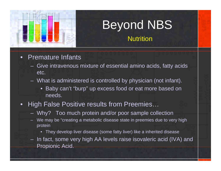

# Beyond NBS

**Nutrition** 

- • Premature Infants
	- Give intravenous mixture of essential amino acids, fatty acids etc.
	- What is administered is controlled by physician (not infant).
		- Baby can't "burp" up excess food or eat more based on needs.
- $\bullet$  High False Positive results from Preemies…
	- Why? Too much protein and/or poor sample collection
	- We may be "creating a metabolic disease state in preemies due to very high protein
		- They develop liver disease (some fatty liver) like a inherited disease
	- In fact, some very high AA levels raise isovaleric acid (IVA) and Propionic Acid.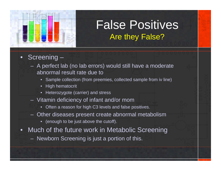

## False Positives Are they False?

- • Screening –
	- A perfect lab (no lab errors) would still have a moderate abnormal result rate due to
		- Sample collection (from preemies, collected sample from iv line)
		- High hematocrit
		- Heterozygote (carrier) and stress
	- Vitamin deficiency of infant and/or mom
		- Often a reason for high C3 levels and false positives.
	- Other diseases present create abnormal metabolism
		- (enough to be just above the cutoff).
- • Much of the future work in Metabolic Screening
	- Newborn Screening is just a portion of this.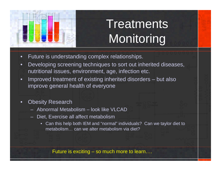

# **Treatments Monitoring**

- $\bullet$ Future is understanding complex relationships.
- • Developing screening techniques to sort out inherited diseases, nutritional issues, environment, age, infection etc.
- $\bullet$  Improved treatment of existing inherited disorders – but also improve general health of everyone
- $\bullet$  Obesity Research
	- Abnormal Metabolism look like VLCAD
	- Diet, Exercise all affect metabolism
		- Can this help both IEM and "normal" individuals? Can we taylor diet to metabolism… can we alter metabolism via diet?

Future is exciting – so much more to learn….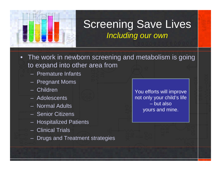

#### Screening Save Lives *Including our own*

- $\bullet$  The work in newborn screening and metabolism is going to expand into other area from
	- Premature Infants
	- Pregnant Moms
	- Children
	- Adolescents
	- Normal Adults
	- Senior Citizens
	- Hospitalized Patients
	- Clinical Trials
	- Drugs and Treatment strategies

You efforts will improve not only your child's life – but alsoyours and mine.